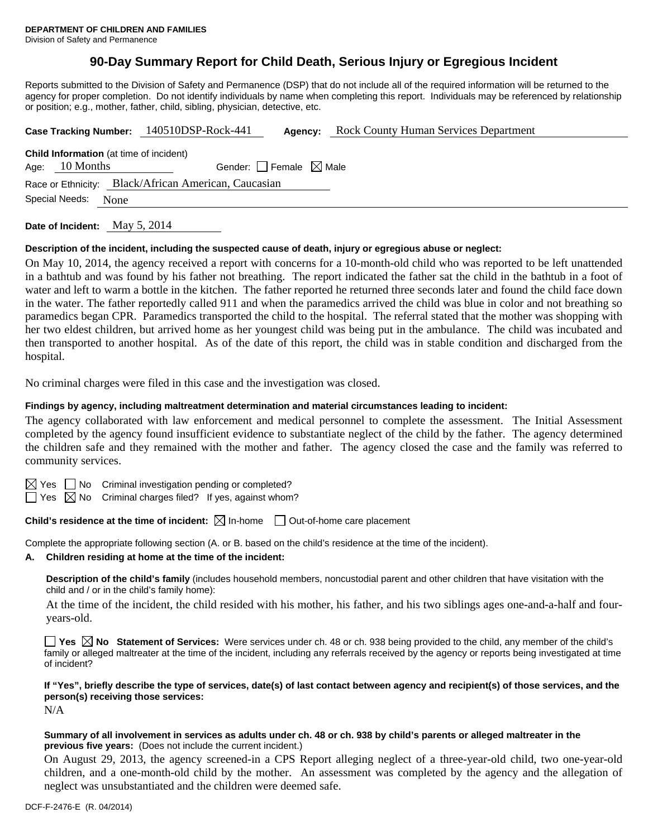# **90-Day Summary Report for Child Death, Serious Injury or Egregious Incident**

Reports submitted to the Division of Safety and Permanence (DSP) that do not include all of the required information will be returned to the agency for proper completion. Do not identify individuals by name when completing this report. Individuals may be referenced by relationship or position; e.g., mother, father, child, sibling, physician, detective, etc.

|                                                      |  | Case Tracking Number: 140510DSP-Rock-441 | Agency:                         | <b>Rock County Human Services Department</b> |  |  |  |
|------------------------------------------------------|--|------------------------------------------|---------------------------------|----------------------------------------------|--|--|--|
| <b>Child Information</b> (at time of incident)       |  |                                          |                                 |                                              |  |  |  |
| Age: $10$ Months                                     |  |                                          | Gender: Female $\boxtimes$ Male |                                              |  |  |  |
| Race or Ethnicity: Black/African American, Caucasian |  |                                          |                                 |                                              |  |  |  |
| Special Needs:<br>None                               |  |                                          |                                 |                                              |  |  |  |
|                                                      |  |                                          |                                 |                                              |  |  |  |

**Date of Incident:** May 5, 2014

#### **Description of the incident, including the suspected cause of death, injury or egregious abuse or neglect:**

On May 10, 2014, the agency received a report with concerns for a 10-month-old child who was reported to be left unattended in a bathtub and was found by his father not breathing. The report indicated the father sat the child in the bathtub in a foot of water and left to warm a bottle in the kitchen. The father reported he returned three seconds later and found the child face down in the water. The father reportedly called 911 and when the paramedics arrived the child was blue in color and not breathing so paramedics began CPR. Paramedics transported the child to the hospital. The referral stated that the mother was shopping with her two eldest children, but arrived home as her youngest child was being put in the ambulance. The child was incubated and then transported to another hospital. As of the date of this report, the child was in stable condition and discharged from the hospital.

No criminal charges were filed in this case and the investigation was closed.

#### **Findings by agency, including maltreatment determination and material circumstances leading to incident:**

The agency collaborated with law enforcement and medical personnel to complete the assessment. The Initial Assessment completed by the agency found insufficient evidence to substantiate neglect of the child by the father. The agency determined the children safe and they remained with the mother and father. The agency closed the case and the family was referred to community services.

 $\boxtimes$  Yes  $\Box$  No Criminal investigation pending or completed?

 $\Box$  Yes  $\boxtimes$  No Criminal charges filed? If yes, against whom?

**Child's residence at the time of incident:**  $\boxtimes$  In-home  $\Box$  Out-of-home care placement

Complete the appropriate following section (A. or B. based on the child's residence at the time of the incident).

**A. Children residing at home at the time of the incident:**

**Description of the child's family** (includes household members, noncustodial parent and other children that have visitation with the child and / or in the child's family home):

 At the time of the incident, the child resided with his mother, his father, and his two siblings ages one-and-a-half and fouryears-old.

**Yes No Statement of Services:** Were services under ch. 48 or ch. 938 being provided to the child, any member of the child's family or alleged maltreater at the time of the incident, including any referrals received by the agency or reports being investigated at time of incident?

**If "Yes", briefly describe the type of services, date(s) of last contact between agency and recipient(s) of those services, and the person(s) receiving those services:** 

N/A

#### **Summary of all involvement in services as adults under ch. 48 or ch. 938 by child's parents or alleged maltreater in the previous five years:** (Does not include the current incident.)

On August 29, 2013, the agency screened-in a CPS Report alleging neglect of a three-year-old child, two one-year-old children, and a one-month-old child by the mother. An assessment was completed by the agency and the allegation of neglect was unsubstantiated and the children were deemed safe.